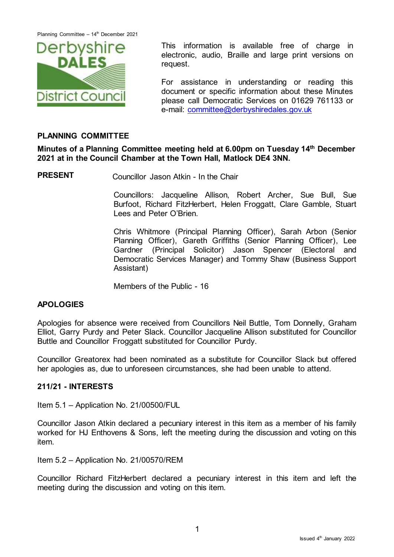

This information is available free of charge in electronic, audio, Braille and large print versions on request.

For assistance in understanding or reading this document or specific information about these Minutes please call Democratic Services on 01629 761133 or e-mail: [committee@derbyshiredales.gov.uk](mailto:committee@derbyshiredales.gov.uk)

## **PLANNING COMMITTEE**

**Minutes of a Planning Committee meeting held at 6.00pm on Tuesday 14 th December 2021 at in the Council Chamber at the Town Hall, Matlock DE4 3NN.**

**PRESENT** Councillor Jason Atkin - In the Chair

Councillors: Jacqueline Allison, Robert Archer, Sue Bull, Sue Burfoot, Richard FitzHerbert, Helen Froggatt, Clare Gamble, Stuart Lees and Peter O'Brien.

Chris Whitmore (Principal Planning Officer), Sarah Arbon (Senior Planning Officer), Gareth Griffiths (Senior Planning Officer), Lee Gardner (Principal Solicitor) Jason Spencer (Electoral and Democratic Services Manager) and Tommy Shaw (Business Support Assistant)

Members of the Public - 16

### **APOLOGIES**

Apologies for absence were received from Councillors Neil Buttle, Tom Donnelly, Graham Elliot, Garry Purdy and Peter Slack. Councillor Jacqueline Allison substituted for Councillor Buttle and Councillor Froggatt substituted for Councillor Purdy.

Councillor Greatorex had been nominated as a substitute for Councillor Slack but offered her apologies as, due to unforeseen circumstances, she had been unable to attend.

### **211/21 - INTERESTS**

Item 5.1 – Application No. 21/00500/FUL

Councillor Jason Atkin declared a pecuniary interest in this item as a member of his family worked for HJ Enthovens & Sons, left the meeting during the discussion and voting on this item.

Item 5.2 – Application No. 21/00570/REM

Councillor Richard FitzHerbert declared a pecuniary interest in this item and left the meeting during the discussion and voting on this item.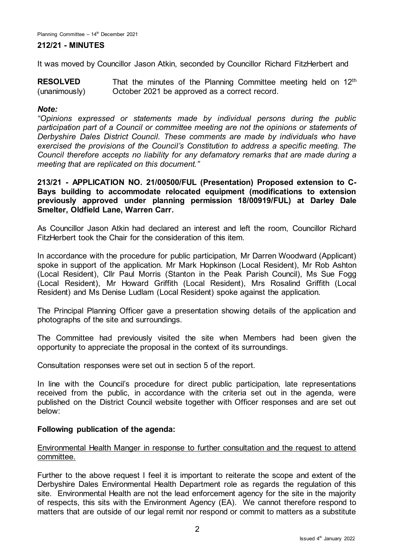### **212/21 - MINUTES**

It was moved by Councillor Jason Atkin, seconded by Councillor Richard FitzHerbert and

**RESOLVED** (unanimously) That the minutes of the Planning Committee meeting held on  $12<sup>th</sup>$ October 2021 be approved as a correct record.

### *Note:*

*"Opinions expressed or statements made by individual persons during the public participation part of a Council or committee meeting are not the opinions or statements of Derbyshire Dales District Council. These comments are made by individuals who have exercised the provisions of the Council's Constitution to address a specific meeting. The Council therefore accepts no liability for any defamatory remarks that are made during a meeting that are replicated on this document."*

**213/21 - APPLICATION NO. 21/00500/FUL (Presentation) Proposed extension to C-Bays building to accommodate relocated equipment (modifications to extension previously approved under planning permission 18/00919/FUL) at Darley Dale Smelter, Oldfield Lane, Warren Carr.**

As Councillor Jason Atkin had declared an interest and left the room, Councillor Richard FitzHerbert took the Chair for the consideration of this item.

In accordance with the procedure for public participation, Mr Darren Woodward (Applicant) spoke in support of the application. Mr Mark Hopkinson (Local Resident), Mr Rob Ashton (Local Resident), Cllr Paul Morris (Stanton in the Peak Parish Council), Ms Sue Fogg (Local Resident), Mr Howard Griffith (Local Resident), Mrs Rosalind Griffith (Local Resident) and Ms Denise Ludlam (Local Resident) spoke against the application.

The Principal Planning Officer gave a presentation showing details of the application and photographs of the site and surroundings.

The Committee had previously visited the site when Members had been given the opportunity to appreciate the proposal in the context of its surroundings.

Consultation responses were set out in section 5 of the report.

In line with the Council's procedure for direct public participation, late representations received from the public, in accordance with the criteria set out in the agenda, were published on the District Council website together with Officer responses and are set out below:

### **Following publication of the agenda:**

Environmental Health Manger in response to further consultation and the request to attend committee.

Further to the above request I feel it is important to reiterate the scope and extent of the Derbyshire Dales Environmental Health Department role as regards the regulation of this site. Environmental Health are not the lead enforcement agency for the site in the majority of respects, this sits with the Environment Agency (EA). We cannot therefore respond to matters that are outside of our legal remit nor respond or commit to matters as a substitute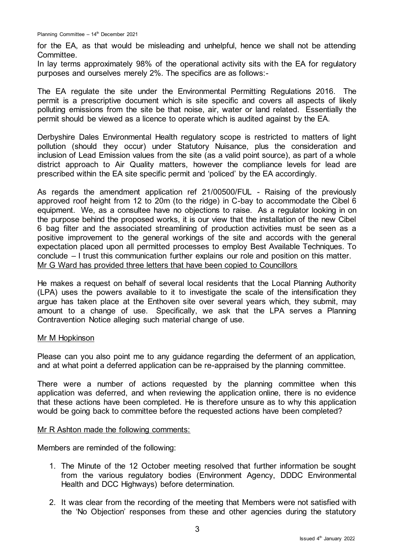for the EA, as that would be misleading and unhelpful, hence we shall not be attending Committee.

In lay terms approximately 98% of the operational activity sits with the EA for regulatory purposes and ourselves merely 2%. The specifics are as follows:-

The EA regulate the site under the Environmental Permitting Regulations 2016. The permit is a prescriptive document which is site specific and covers all aspects of likely polluting emissions from the site be that noise, air, water or land related. Essentially the permit should be viewed as a licence to operate which is audited against by the EA.

Derbyshire Dales Environmental Health regulatory scope is restricted to matters of light pollution (should they occur) under Statutory Nuisance, plus the consideration and inclusion of Lead Emission values from the site (as a valid point source), as part of a whole district approach to Air Quality matters, however the compliance levels for lead are prescribed within the EA site specific permit and 'policed' by the EA accordingly.

As regards the amendment application ref 21/00500/FUL - Raising of the previously approved roof height from 12 to 20m (to the ridge) in C-bay to accommodate the Cibel 6 equipment. We, as a consultee have no objections to raise. As a regulator looking in on the purpose behind the proposed works, it is our view that the installation of the new Cibel 6 bag filter and the associated streamlining of production activities must be seen as a positive improvement to the general workings of the site and accords with the general expectation placed upon all permitted processes to employ Best Available Techniques. To conclude – I trust this communication further explains our role and position on this matter. Mr G Ward has provided three letters that have been copied to Councillors

He makes a request on behalf of several local residents that the Local Planning Authority (LPA) uses the powers available to it to investigate the scale of the intensification they argue has taken place at the Enthoven site over several years which, they submit, may amount to a change of use. Specifically, we ask that the LPA serves a Planning Contravention Notice alleging such material change of use.

### Mr M Hopkinson

Please can you also point me to any guidance regarding the deferment of an application, and at what point a deferred application can be re-appraised by the planning committee.

There were a number of actions requested by the planning committee when this application was deferred, and when reviewing the application online, there is no evidence that these actions have been completed. He is therefore unsure as to why this application would be going back to committee before the requested actions have been completed?

### Mr R Ashton made the following comments:

Members are reminded of the following:

- 1. The Minute of the 12 October meeting resolved that further information be sought from the various regulatory bodies (Environment Agency, DDDC Environmental Health and DCC Highways) before determination.
- 2. It was clear from the recording of the meeting that Members were not satisfied with the 'No Objection' responses from these and other agencies during the statutory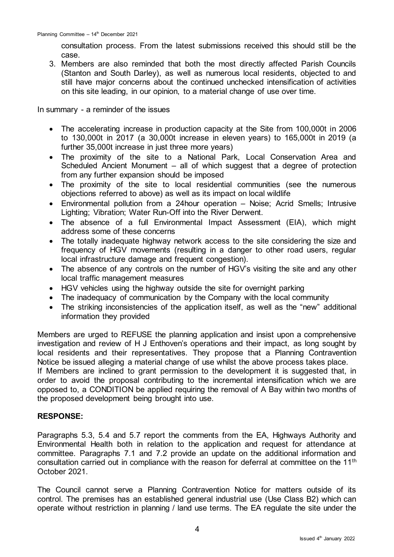consultation process. From the latest submissions received this should still be the case.

3. Members are also reminded that both the most directly affected Parish Councils (Stanton and South Darley), as well as numerous local residents, objected to and still have major concerns about the continued unchecked intensification of activities on this site leading, in our opinion, to a material change of use over time.

In summary - a reminder of the issues

- The accelerating increase in production capacity at the Site from 100,000t in 2006 to 130,000t in 2017 (a 30,000t increase in eleven years) to 165,000t in 2019 (a further 35,000t increase in just three more years)
- The proximity of the site to a National Park, Local Conservation Area and Scheduled Ancient Monument – all of which suggest that a degree of protection from any further expansion should be imposed
- The proximity of the site to local residential communities (see the numerous objections referred to above) as well as its impact on local wildlife
- Environmental pollution from a 24hour operation Noise; Acrid Smells; Intrusive Lighting; Vibration; Water Run-Off into the River Derwent.
- The absence of a full Environmental Impact Assessment (EIA), which might address some of these concerns
- The totally inadequate highway network access to the site considering the size and frequency of HGV movements (resulting in a danger to other road users, regular local infrastructure damage and frequent congestion).
- The absence of any controls on the number of HGV's visiting the site and any other local traffic management measures
- HGV vehicles using the highway outside the site for overnight parking
- The inadequacy of communication by the Company with the local community
- The striking inconsistencies of the application itself, as well as the "new" additional information they provided

Members are urged to REFUSE the planning application and insist upon a comprehensive investigation and review of H J Enthoven's operations and their impact, as long sought by local residents and their representatives. They propose that a Planning Contravention Notice be issued alleging a material change of use whilst the above process takes place.

If Members are inclined to grant permission to the development it is suggested that, in order to avoid the proposal contributing to the incremental intensification which we are opposed to, a CONDITION be applied requiring the removal of A Bay within two months of the proposed development being brought into use.

# **RESPONSE:**

Paragraphs 5.3, 5.4 and 5.7 report the comments from the EA, Highways Authority and Environmental Health both in relation to the application and request for attendance at committee. Paragraphs 7.1 and 7.2 provide an update on the additional information and consultation carried out in compliance with the reason for deferral at committee on the 11<sup>th</sup> October 2021.

The Council cannot serve a Planning Contravention Notice for matters outside of its control. The premises has an established general industrial use (Use Class B2) which can operate without restriction in planning / land use terms. The EA regulate the site under the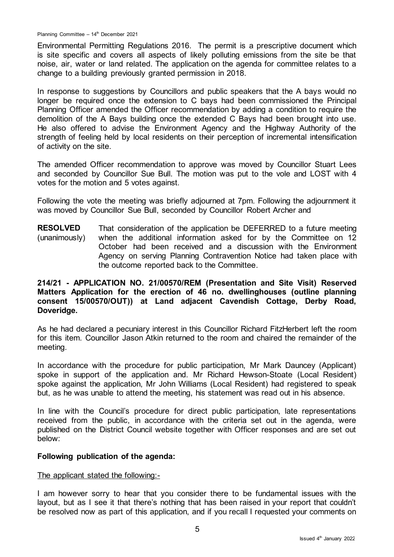Planning Committee - 14<sup>th</sup> December 2021

Environmental Permitting Regulations 2016. The permit is a prescriptive document which is site specific and covers all aspects of likely polluting emissions from the site be that noise, air, water or land related. The application on the agenda for committee relates to a change to a building previously granted permission in 2018.

In response to suggestions by Councillors and public speakers that the A bays would no longer be required once the extension to C bays had been commissioned the Principal Planning Officer amended the Officer recommendation by adding a condition to require the demolition of the A Bays building once the extended C Bays had been brought into use. He also offered to advise the Environment Agency and the Highway Authority of the strength of feeling held by local residents on their perception of incremental intensification of activity on the site.

The amended Officer recommendation to approve was moved by Councillor Stuart Lees and seconded by Councillor Sue Bull. The motion was put to the vole and LOST with 4 votes for the motion and 5 votes against.

Following the vote the meeting was briefly adjourned at 7pm. Following the adjournment it was moved by Councillor Sue Bull, seconded by Councillor Robert Archer and

**RESOLVED** (unanimously) That consideration of the application be DEFERRED to a future meeting when the additional information asked for by the Committee on 12 October had been received and a discussion with the Environment Agency on serving Planning Contravention Notice had taken place with the outcome reported back to the Committee.

# **214/21 - APPLICATION NO. 21/00570/REM (Presentation and Site Visit) Reserved Matters Application for the erection of 46 no. dwellinghouses (outline planning consent 15/00570/OUT)) at Land adjacent Cavendish Cottage, Derby Road, Doveridge.**

As he had declared a pecuniary interest in this Councillor Richard FitzHerbert left the room for this item. Councillor Jason Atkin returned to the room and chaired the remainder of the meeting.

In accordance with the procedure for public participation, Mr Mark Dauncey (Applicant) spoke in support of the application and. Mr Richard Hewson-Stoate (Local Resident) spoke against the application, Mr John Williams (Local Resident) had registered to speak but, as he was unable to attend the meeting, his statement was read out in his absence.

In line with the Council's procedure for direct public participation, late representations received from the public, in accordance with the criteria set out in the agenda, were published on the District Council website together with Officer responses and are set out below:

### **Following publication of the agenda:**

### The applicant stated the following:-

I am however sorry to hear that you consider there to be fundamental issues with the layout, but as I see it that there's nothing that has been raised in your report that couldn't be resolved now as part of this application, and if you recall I requested your comments on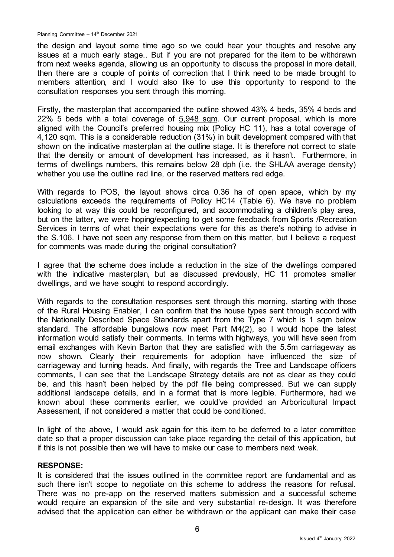the design and layout some time ago so we could hear your thoughts and resolve any issues at a much early stage.. But if you are not prepared for the item to be withdrawn from next weeks agenda, allowing us an opportunity to discuss the proposal in more detail, then there are a couple of points of correction that I think need to be made brought to members attention, and I would also like to use this opportunity to respond to the consultation responses you sent through this morning.

Firstly, the masterplan that accompanied the outline showed 43% 4 beds, 35% 4 beds and 22% 5 beds with a total coverage of 5,948 sqm. Our current proposal, which is more aligned with the Council's preferred housing mix (Policy HC 11), has a total coverage of 4,120 sqm. This is a considerable reduction (31%) in built development compared with that shown on the indicative masterplan at the outline stage. It is therefore not correct to state that the density or amount of development has increased, as it hasn't. Furthermore, in terms of dwellings numbers, this remains below 28 dph (i.e. the SHLAA average density) whether you use the outline red line, or the reserved matters red edge.

With regards to POS, the layout shows circa 0.36 ha of open space, which by my calculations exceeds the requirements of Policy HC14 (Table 6). We have no problem looking to at way this could be reconfigured, and accommodating a children's play area, but on the latter, we were hoping/expecting to get some feedback from Sports /Recreation Services in terms of what their expectations were for this as there's nothing to advise in the S.106. I have not seen any response from them on this matter, but I believe a request for comments was made during the original consultation?

I agree that the scheme does include a reduction in the size of the dwellings compared with the indicative masterplan, but as discussed previously, HC 11 promotes smaller dwellings, and we have sought to respond accordingly.

With regards to the consultation responses sent through this morning, starting with those of the Rural Housing Enabler, I can confirm that the house types sent through accord with the Nationally Described Space Standards apart from the Type 7 which is 1 sqm below standard. The affordable bungalows now meet Part M4(2), so I would hope the latest information would satisfy their comments. In terms with highways, you will have seen from email exchanges with Kevin Barton that they are satisfied with the 5.5m carriageway as now shown. Clearly their requirements for adoption have influenced the size of carriageway and turning heads. And finally, with regards the Tree and Landscape officers comments, I can see that the Landscape Strategy details are not as clear as they could be, and this hasn't been helped by the pdf file being compressed. But we can supply additional landscape details, and in a format that is more legible. Furthermore, had we known about these comments earlier, we could've provided an Arboricultural Impact Assessment, if not considered a matter that could be conditioned.

In light of the above, I would ask again for this item to be deferred to a later committee date so that a proper discussion can take place regarding the detail of this application, but if this is not possible then we will have to make our case to members next week.

### **RESPONSE:**

It is considered that the issues outlined in the committee report are fundamental and as such there isn't scope to negotiate on this scheme to address the reasons for refusal. There was no pre-app on the reserved matters submission and a successful scheme would require an expansion of the site and very substantial re-design. It was therefore advised that the application can either be withdrawn or the applicant can make their case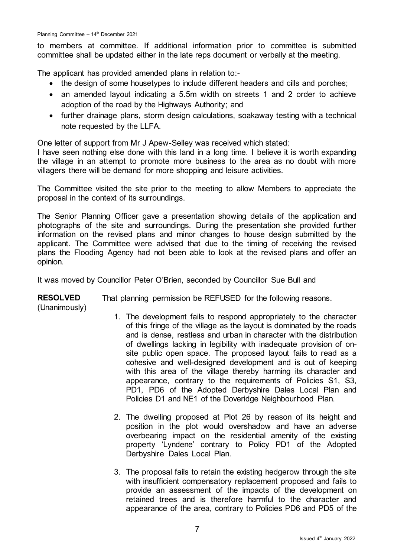to members at committee. If additional information prior to committee is submitted committee shall be updated either in the late reps document or verbally at the meeting.

The applicant has provided amended plans in relation to:-

- the design of some housetypes to include different headers and cills and porches;
- an amended layout indicating a 5.5m width on streets 1 and 2 order to achieve adoption of the road by the Highways Authority; and
- further drainage plans, storm design calculations, soakaway testing with a technical note requested by the LLFA.

One letter of support from Mr J Apew-Selley was received which stated:

I have seen nothing else done with this land in a long time. I believe it is worth expanding the village in an attempt to promote more business to the area as no doubt with more villagers there will be demand for more shopping and leisure activities.

The Committee visited the site prior to the meeting to allow Members to appreciate the proposal in the context of its surroundings.

The Senior Planning Officer gave a presentation showing details of the application and photographs of the site and surroundings. During the presentation she provided further information on the revised plans and minor changes to house design submitted by the applicant. The Committee were advised that due to the timing of receiving the revised plans the Flooding Agency had not been able to look at the revised plans and offer an opinion.

It was moved by Councillor Peter O'Brien, seconded by Councillor Sue Bull and

**RESOLVED** That planning permission be REFUSED for the following reasons.

(Unanimously)

- 1. The development fails to respond appropriately to the character of this fringe of the village as the layout is dominated by the roads and is dense, restless and urban in character with the distribution of dwellings lacking in legibility with inadequate provision of onsite public open space. The proposed layout fails to read as a cohesive and well-designed development and is out of keeping with this area of the village thereby harming its character and appearance, contrary to the requirements of Policies S1, S3, PD1, PD6 of the Adopted Derbyshire Dales Local Plan and Policies D1 and NE1 of the Doveridge Neighbourhood Plan.
- 2. The dwelling proposed at Plot 26 by reason of its height and position in the plot would overshadow and have an adverse overbearing impact on the residential amenity of the existing property 'Lyndene' contrary to Policy PD1 of the Adopted Derbyshire Dales Local Plan.
- 3. The proposal fails to retain the existing hedgerow through the site with insufficient compensatory replacement proposed and fails to provide an assessment of the impacts of the development on retained trees and is therefore harmful to the character and appearance of the area, contrary to Policies PD6 and PD5 of the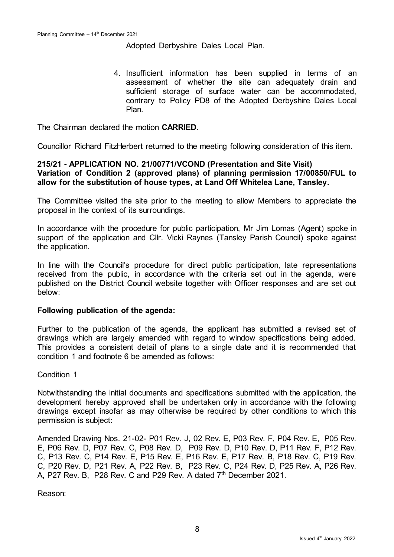Adopted Derbyshire Dales Local Plan.

4. Insufficient information has been supplied in terms of an assessment of whether the site can adequately drain and sufficient storage of surface water can be accommodated. contrary to Policy PD8 of the Adopted Derbyshire Dales Local Plan.

The Chairman declared the motion **CARRIED**.

Councillor Richard FitzHerbert returned to the meeting following consideration of this item.

# **215/21 - APPLICATION NO. 21/00771/VCOND (Presentation and Site Visit) Variation of Condition 2 (approved plans) of planning permission 17/00850/FUL to allow for the substitution of house types, at Land Off Whitelea Lane, Tansley.**

The Committee visited the site prior to the meeting to allow Members to appreciate the proposal in the context of its surroundings.

In accordance with the procedure for public participation, Mr Jim Lomas (Agent) spoke in support of the application and Cllr. Vicki Raynes (Tansley Parish Council) spoke against the application.

In line with the Council's procedure for direct public participation, late representations received from the public, in accordance with the criteria set out in the agenda, were published on the District Council website together with Officer responses and are set out below:

### **Following publication of the agenda:**

Further to the publication of the agenda, the applicant has submitted a revised set of drawings which are largely amended with regard to window specifications being added. This provides a consistent detail of plans to a single date and it is recommended that condition 1 and footnote 6 be amended as follows:

Condition 1

Notwithstanding the initial documents and specifications submitted with the application, the development hereby approved shall be undertaken only in accordance with the following drawings except insofar as may otherwise be required by other conditions to which this permission is subject:

Amended Drawing Nos. 21-02- P01 Rev. J, 02 Rev. E, P03 Rev. F, P04 Rev. E, P05 Rev. E, P06 Rev. D, P07 Rev. C, P08 Rev. D, P09 Rev. D, P10 Rev. D, P11 Rev. F, P12 Rev. C, P13 Rev. C, P14 Rev. E, P15 Rev. E, P16 Rev. E, P17 Rev. B, P18 Rev. C, P19 Rev. C, P20 Rev. D, P21 Rev. A, P22 Rev. B, P23 Rev. C, P24 Rev. D, P25 Rev. A, P26 Rev. A, P27 Rev. B, P28 Rev. C and P29 Rev. A dated 7<sup>th</sup> December 2021.

Reason: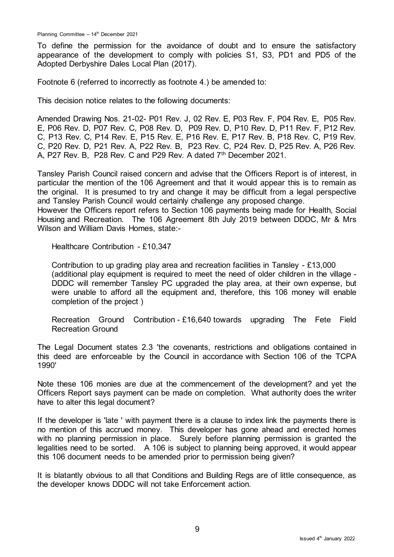To define the permission for the avoidance of doubt and to ensure the satisfactory appearance of the development to comply with policies S1, S3, PD1 and PD5 of the Adopted Derbyshire Dales Local Plan (2017).

Footnote 6 (referred to incorrectly as footnote 4.) be amended to:

This decision notice relates to the following documents:

Amended Drawing Nos. 21-02- P01 Rev. J, 02 Rev. E, P03 Rev. F, P04 Rev. E, P05 Rev. E, P06 Rev. D, P07 Rev. C, P08 Rev. D, P09 Rev. D, P10 Rev. D, P11 Rev. F, P12 Rev. C, P13 Rev. C, P14 Rev. E, P15 Rev. E, P16 Rev. E, P17 Rev. B, P18 Rev. C, P19 Rev. C, P20 Rev. D, P21 Rev. A, P22 Rev. B, P23 Rev. C, P24 Rev. D, P25 Rev. A, P26 Rev. A, P27 Rev. B, P28 Rev. C and P29 Rev. A dated 7<sup>th</sup> December 2021.

Tansley Parish Council raised concern and advise that the Officers Report is of interest, in particular the mention of the 106 Agreement and that it would appear this is to remain as the original. It is presumed to try and change it may be difficult from a legal perspective and Tansley Parish Council would certainly challenge any proposed change.

However the Officers report refers to Section 106 payments being made for Health, Social Housing and Recreation. The 106 Agreement 8th July 2019 between DDDC, Mr & Mrs Wilson and William Davis Homes, state:-

Healthcare Contribution - £10,347

Contribution to up grading play area and recreation facilities in Tansley - £13,000 (additional play equipment is required to meet the need of older children in the village - DDDC will remember Tansley PC upgraded the play area, at their own expense, but were unable to afford all the equipment and, therefore, this 106 money will enable completion of the project )

Recreation Ground Contribution - £16,640 towards upgrading The Fete Field Recreation Ground

The Legal Document states 2.3 'the covenants, restrictions and obligations contained in this deed are enforceable by the Council in accordance with Section 106 of the TCPA 1990'

Note these 106 monies are due at the commencement of the development? and yet the Officers Report says payment can be made on completion. What authority does the writer have to alter this legal document?

If the developer is 'late ' with payment there is a clause to index link the payments there is no mention of this accrued money. This developer has gone ahead and erected homes with no planning permission in place. Surely before planning permission is granted the legalities need to be sorted. A 106 is subject to planning being approved, it would appear this 106 document needs to be amended prior to permission being given?

It is blatantly obvious to all that Conditions and Building Regs are of little consequence, as the developer knows DDDC will not take Enforcement action.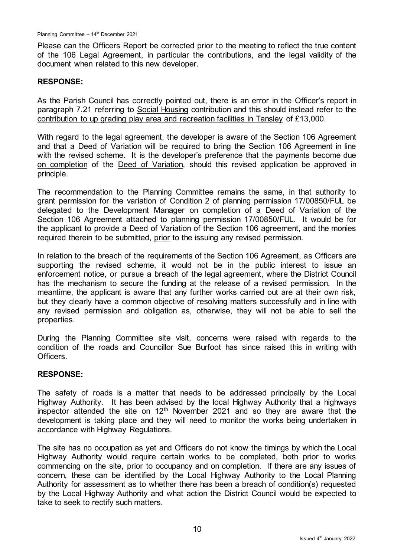Please can the Officers Report be corrected prior to the meeting to reflect the true content of the 106 Legal Agreement, in particular the contributions, and the legal validity of the document when related to this new developer.

## **RESPONSE:**

As the Parish Council has correctly pointed out, there is an error in the Officer's report in paragraph 7.21 referring to Social Housing contribution and this should instead refer to the contribution to up grading play area and recreation facilities in Tansley of £13,000.

With regard to the legal agreement, the developer is aware of the Section 106 Agreement and that a Deed of Variation will be required to bring the Section 106 Agreement in line with the revised scheme. It is the developer's preference that the payments become due on completion of the Deed of Variation, should this revised application be approved in principle.

The recommendation to the Planning Committee remains the same, in that authority to grant permission for the variation of Condition 2 of planning permission 17/00850/FUL be delegated to the Development Manager on completion of a Deed of Variation of the Section 106 Agreement attached to planning permission 17/00850/FUL. It would be for the applicant to provide a Deed of Variation of the Section 106 agreement, and the monies required therein to be submitted, prior to the issuing any revised permission.

In relation to the breach of the requirements of the Section 106 Agreement, as Officers are supporting the revised scheme, it would not be in the public interest to issue an enforcement notice, or pursue a breach of the legal agreement, where the District Council has the mechanism to secure the funding at the release of a revised permission. In the meantime, the applicant is aware that any further works carried out are at their own risk, but they clearly have a common objective of resolving matters successfully and in line with any revised permission and obligation as, otherwise, they will not be able to sell the properties.

During the Planning Committee site visit, concerns were raised with regards to the condition of the roads and Councillor Sue Burfoot has since raised this in writing with Officers.

# **RESPONSE:**

The safety of roads is a matter that needs to be addressed principally by the Local Highway Authority. It has been advised by the local Highway Authority that a highways inspector attended the site on  $12<sup>th</sup>$  November 2021 and so they are aware that the development is taking place and they will need to monitor the works being undertaken in accordance with Highway Regulations.

The site has no occupation as yet and Officers do not know the timings by which the Local Highway Authority would require certain works to be completed, both prior to works commencing on the site, prior to occupancy and on completion. If there are any issues of concern, these can be identified by the Local Highway Authority to the Local Planning Authority for assessment as to whether there has been a breach of condition(s) requested by the Local Highway Authority and what action the District Council would be expected to take to seek to rectify such matters.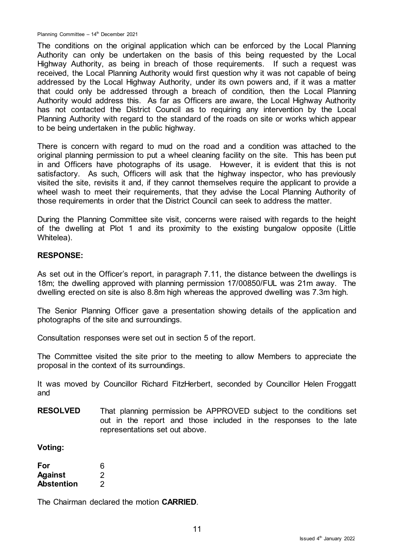The conditions on the original application which can be enforced by the Local Planning Authority can only be undertaken on the basis of this being requested by the Local Highway Authority, as being in breach of those requirements. If such a request was received, the Local Planning Authority would first question why it was not capable of being addressed by the Local Highway Authority, under its own powers and, if it was a matter that could only be addressed through a breach of condition, then the Local Planning Authority would address this. As far as Officers are aware, the Local Highway Authority has not contacted the District Council as to requiring any intervention by the Local Planning Authority with regard to the standard of the roads on site or works which appear to be being undertaken in the public highway.

There is concern with regard to mud on the road and a condition was attached to the original planning permission to put a wheel cleaning facility on the site. This has been put in and Officers have photographs of its usage. However, it is evident that this is not satisfactory. As such, Officers will ask that the highway inspector, who has previously visited the site, revisits it and, if they cannot themselves require the applicant to provide a wheel wash to meet their requirements, that they advise the Local Planning Authority of those requirements in order that the District Council can seek to address the matter.

During the Planning Committee site visit, concerns were raised with regards to the height of the dwelling at Plot 1 and its proximity to the existing bungalow opposite (Little Whitelea).

### **RESPONSE:**

As set out in the Officer's report, in paragraph 7.11, the distance between the dwellings is 18m; the dwelling approved with planning permission 17/00850/FUL was 21m away. The dwelling erected on site is also 8.8m high whereas the approved dwelling was 7.3m high.

The Senior Planning Officer gave a presentation showing details of the application and photographs of the site and surroundings.

Consultation responses were set out in section 5 of the report.

The Committee visited the site prior to the meeting to allow Members to appreciate the proposal in the context of its surroundings.

It was moved by Councillor Richard FitzHerbert, seconded by Councillor Helen Froggatt and

**RESOLVED** That planning permission be APPROVED subject to the conditions set out in the report and those included in the responses to the late representations set out above.

### **Voting:**

| For               | 6              |
|-------------------|----------------|
| <b>Against</b>    | $\overline{2}$ |
| <b>Abstention</b> | 2              |

The Chairman declared the motion **CARRIED**.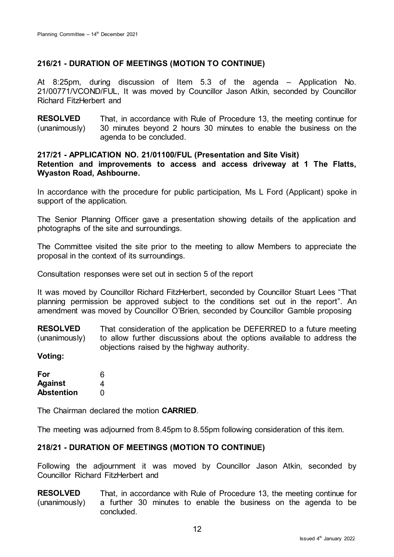# **216/21 - DURATION OF MEETINGS (MOTION TO CONTINUE)**

At 8:25pm, during discussion of Item 5.3 of the agenda – Application No. 21/00771/VCOND/FUL, It was moved by Councillor Jason Atkin, seconded by Councillor Richard FitzHerbert and

**RESOLVED** (unanimously) That, in accordance with Rule of Procedure 13, the meeting continue for 30 minutes beyond 2 hours 30 minutes to enable the business on the agenda to be concluded.

### **217/21 - APPLICATION NO. 21/01100/FUL (Presentation and Site Visit) Retention and improvements to access and access driveway at 1 The Flatts, Wyaston Road, Ashbourne.**

In accordance with the procedure for public participation, Ms L Ford (Applicant) spoke in support of the application.

The Senior Planning Officer gave a presentation showing details of the application and photographs of the site and surroundings.

The Committee visited the site prior to the meeting to allow Members to appreciate the proposal in the context of its surroundings.

Consultation responses were set out in section 5 of the report

It was moved by Councillor Richard FitzHerbert, seconded by Councillor Stuart Lees "That planning permission be approved subject to the conditions set out in the report". An amendment was moved by Councillor O'Brien, seconded by Councillor Gamble proposing

**RESOLVED** (unanimously) That consideration of the application be DEFERRED to a future meeting to allow further discussions about the options available to address the objections raised by the highway authority.

**Voting:**

| For               | 6 |
|-------------------|---|
| <b>Against</b>    | 4 |
| <b>Abstention</b> | O |

The Chairman declared the motion **CARRIED**.

The meeting was adjourned from 8.45pm to 8.55pm following consideration of this item.

# **218/21 - DURATION OF MEETINGS (MOTION TO CONTINUE)**

Following the adjournment it was moved by Councillor Jason Atkin, seconded by Councillor Richard FitzHerbert and

**RESOLVED** (unanimously) That, in accordance with Rule of Procedure 13, the meeting continue for a further 30 minutes to enable the business on the agenda to be concluded.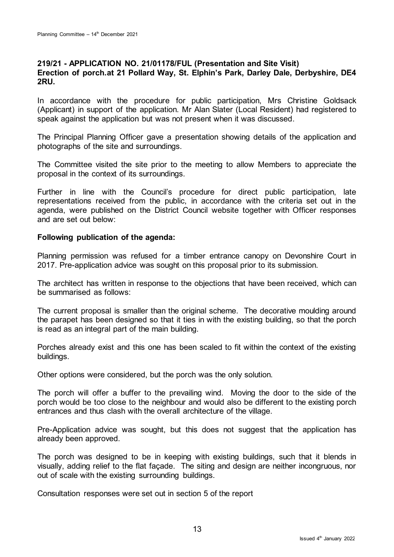### **219/21 - APPLICATION NO. 21/01178/FUL (Presentation and Site Visit) Erection of porch.at 21 Pollard Way, St. Elphin's Park, Darley Dale, Derbyshire, DE4 2RU.**

In accordance with the procedure for public participation, Mrs Christine Goldsack (Applicant) in support of the application. Mr Alan Slater (Local Resident) had registered to speak against the application but was not present when it was discussed.

The Principal Planning Officer gave a presentation showing details of the application and photographs of the site and surroundings.

The Committee visited the site prior to the meeting to allow Members to appreciate the proposal in the context of its surroundings.

Further in line with the Council's procedure for direct public participation, late representations received from the public, in accordance with the criteria set out in the agenda, were published on the District Council website together with Officer responses and are set out below:

### **Following publication of the agenda:**

Planning permission was refused for a timber entrance canopy on Devonshire Court in 2017. Pre-application advice was sought on this proposal prior to its submission.

The architect has written in response to the objections that have been received, which can be summarised as follows:

The current proposal is smaller than the original scheme. The decorative moulding around the parapet has been designed so that it ties in with the existing building, so that the porch is read as an integral part of the main building.

Porches already exist and this one has been scaled to fit within the context of the existing buildings.

Other options were considered, but the porch was the only solution.

The porch will offer a buffer to the prevailing wind. Moving the door to the side of the porch would be too close to the neighbour and would also be different to the existing porch entrances and thus clash with the overall architecture of the village.

Pre-Application advice was sought, but this does not suggest that the application has already been approved.

The porch was designed to be in keeping with existing buildings, such that it blends in visually, adding relief to the flat façade. The siting and design are neither incongruous, nor out of scale with the existing surrounding buildings.

Consultation responses were set out in section 5 of the report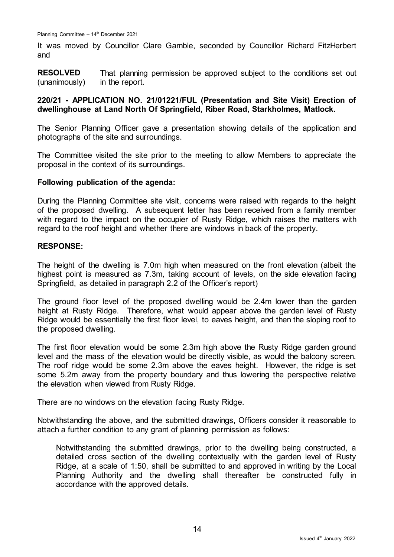It was moved by Councillor Clare Gamble, seconded by Councillor Richard FitzHerbert and

**RESOLVED** (unanimously) That planning permission be approved subject to the conditions set out in the report.

# **220/21 - APPLICATION NO. 21/01221/FUL (Presentation and Site Visit) Erection of dwellinghouse at Land North Of Springfield, Riber Road, Starkholmes, Matlock.**

The Senior Planning Officer gave a presentation showing details of the application and photographs of the site and surroundings.

The Committee visited the site prior to the meeting to allow Members to appreciate the proposal in the context of its surroundings.

### **Following publication of the agenda:**

During the Planning Committee site visit, concerns were raised with regards to the height of the proposed dwelling. A subsequent letter has been received from a family member with regard to the impact on the occupier of Rusty Ridge, which raises the matters with regard to the roof height and whether there are windows in back of the property.

### **RESPONSE:**

The height of the dwelling is 7.0m high when measured on the front elevation (albeit the highest point is measured as 7.3m, taking account of levels, on the side elevation facing Springfield, as detailed in paragraph 2.2 of the Officer's report)

The ground floor level of the proposed dwelling would be 2.4m lower than the garden height at Rusty Ridge. Therefore, what would appear above the garden level of Rusty Ridge would be essentially the first floor level, to eaves height, and then the sloping roof to the proposed dwelling.

The first floor elevation would be some 2.3m high above the Rusty Ridge garden ground level and the mass of the elevation would be directly visible, as would the balcony screen. The roof ridge would be some 2.3m above the eaves height. However, the ridge is set some 5.2m away from the property boundary and thus lowering the perspective relative the elevation when viewed from Rusty Ridge.

There are no windows on the elevation facing Rusty Ridge.

Notwithstanding the above, and the submitted drawings, Officers consider it reasonable to attach a further condition to any grant of planning permission as follows:

Notwithstanding the submitted drawings, prior to the dwelling being constructed, a detailed cross section of the dwelling contextually with the garden level of Rusty Ridge, at a scale of 1:50, shall be submitted to and approved in writing by the Local Planning Authority and the dwelling shall thereafter be constructed fully in accordance with the approved details.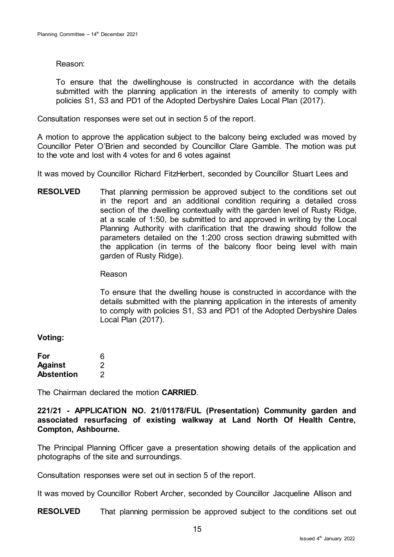Reason:

To ensure that the dwellinghouse is constructed in accordance with the details submitted with the planning application in the interests of amenity to comply with policies S1, S3 and PD1 of the Adopted Derbyshire Dales Local Plan (2017).

Consultation responses were set out in section 5 of the report.

A motion to approve the application subject to the balcony being excluded was moved by Councillor Peter O'Brien and seconded by Councillor Clare Gamble. The motion was put to the vote and lost with 4 votes for and 6 votes against

It was moved by Councillor Richard FitzHerbert, seconded by Councillor Stuart Lees and

**RESOLVED** That planning permission be approved subject to the conditions set out in the report and an additional condition requiring a detailed cross section of the dwelling contextually with the garden level of Rusty Ridge, at a scale of 1:50, be submitted to and approved in writing by the Local Planning Authority with clarification that the drawing should follow the parameters detailed on the 1:200 cross section drawing submitted with the application (in terms of the balcony floor being level with main garden of Rusty Ridge).

Reason

To ensure that the dwelling house is constructed in accordance with the details submitted with the planning application in the interests of amenity to comply with policies S1, S3 and PD1 of the Adopted Derbyshire Dales Local Plan (2017).

**Voting:**

| For               | 6 |
|-------------------|---|
| <b>Against</b>    | 2 |
| <b>Abstention</b> | 2 |

The Chairman declared the motion **CARRIED**.

**221/21 - APPLICATION NO. 21/01178/FUL (Presentation) Community garden and associated resurfacing of existing walkway at Land North Of Health Centre, Compton, Ashbourne.**

The Principal Planning Officer gave a presentation showing details of the application and photographs of the site and surroundings.

Consultation responses were set out in section 5 of the report.

It was moved by Councillor Robert Archer, seconded by Councillor Jacqueline Allison and

**RESOLVED** That planning permission be approved subject to the conditions set out